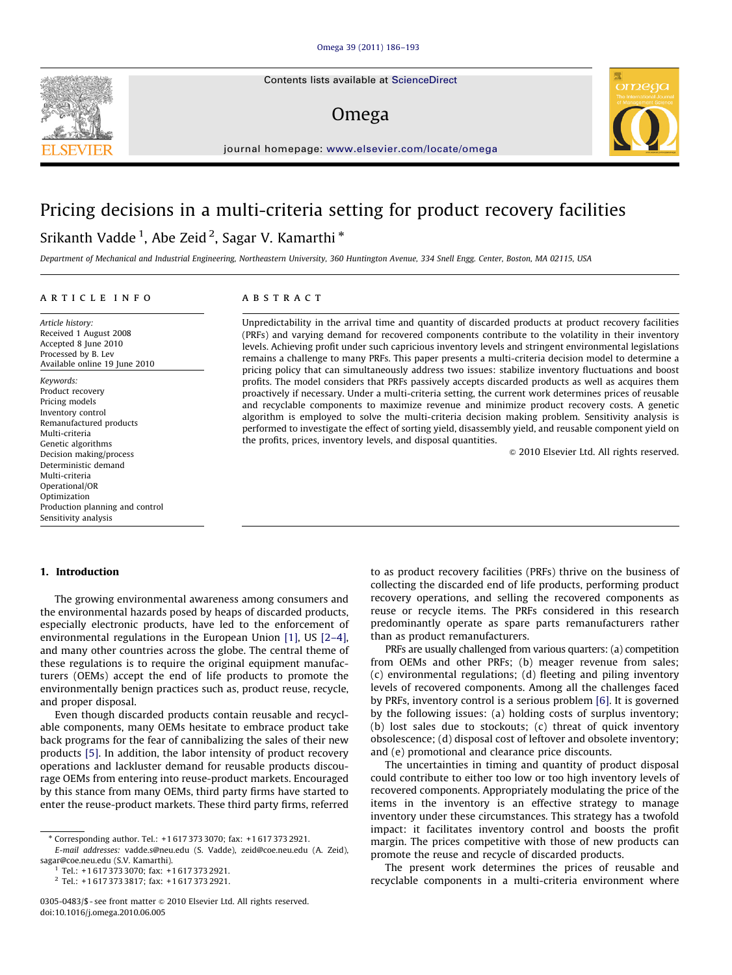Contents lists available at ScienceDirect

### Omega



journal homepage: [www.elsevier.com/locate/omega](www.elsevier.com/ome)

# Pricing decisions in a multi-criteria setting for product recovery facilities

## Srikanth Vadde <sup>1</sup>, Abe Zeid <sup>2</sup>, Sagar V. Kamarthi \*

Department of Mechanical and Industrial Engineering, Northeastern University, 360 Huntington Avenue, 334 Snell Engg. Center, Boston, MA 02115, USA

#### ARTICLE INFO

Article history: Received 1 August 2008 Accepted 8 June 2010 Processed by B. Lev Available online 19 June 2010

Keywords: Product recovery Pricing models Inventory control Remanufactured products Multi-criteria Genetic algorithms Decision making/process Deterministic demand Multi-criteria Operational/OR Optimization Production planning and control Sensitivity analysis

#### **ABSTRACT**

Unpredictability in the arrival time and quantity of discarded products at product recovery facilities (PRFs) and varying demand for recovered components contribute to the volatility in their inventory levels. Achieving profit under such capricious inventory levels and stringent environmental legislations remains a challenge to many PRFs. This paper presents a multi-criteria decision model to determine a pricing policy that can simultaneously address two issues: stabilize inventory fluctuations and boost profits. The model considers that PRFs passively accepts discarded products as well as acquires them proactively if necessary. Under a multi-criteria setting, the current work determines prices of reusable and recyclable components to maximize revenue and minimize product recovery costs. A genetic algorithm is employed to solve the multi-criteria decision making problem. Sensitivity analysis is performed to investigate the effect of sorting yield, disassembly yield, and reusable component yield on the profits, prices, inventory levels, and disposal quantities.

 $\odot$  2010 Elsevier Ltd. All rights reserved.

### 1. Introduction

The growing environmental awareness among consumers and the environmental hazards posed by heaps of discarded products, especially electronic products, have led to the enforcement of environmental regulations in the European Union [\[1\]](#page--1-0), US [\[2–4\],](#page--1-0) and many other countries across the globe. The central theme of these regulations is to require the original equipment manufacturers (OEMs) accept the end of life products to promote the environmentally benign practices such as, product reuse, recycle, and proper disposal.

Even though discarded products contain reusable and recyclable components, many OEMs hesitate to embrace product take back programs for the fear of cannibalizing the sales of their new products [\[5\]](#page--1-0). In addition, the labor intensity of product recovery operations and lackluster demand for reusable products discourage OEMs from entering into reuse-product markets. Encouraged by this stance from many OEMs, third party firms have started to enter the reuse-product markets. These third party firms, referred to as product recovery facilities (PRFs) thrive on the business of collecting the discarded end of life products, performing product recovery operations, and selling the recovered components as reuse or recycle items. The PRFs considered in this research predominantly operate as spare parts remanufacturers rather than as product remanufacturers.

PRFs are usually challenged from various quarters: (a) competition from OEMs and other PRFs; (b) meager revenue from sales; (c) environmental regulations; (d) fleeting and piling inventory levels of recovered components. Among all the challenges faced by PRFs, inventory control is a serious problem [\[6\].](#page--1-0) It is governed by the following issues: (a) holding costs of surplus inventory; (b) lost sales due to stockouts; (c) threat of quick inventory obsolescence; (d) disposal cost of leftover and obsolete inventory; and (e) promotional and clearance price discounts.

The uncertainties in timing and quantity of product disposal could contribute to either too low or too high inventory levels of recovered components. Appropriately modulating the price of the items in the inventory is an effective strategy to manage inventory under these circumstances. This strategy has a twofold impact: it facilitates inventory control and boosts the profit margin. The prices competitive with those of new products can promote the reuse and recycle of discarded products.

The present work determines the prices of reusable and recyclable components in a multi-criteria environment where



<sup>-</sup> Corresponding author. Tel.: +1 617 373 3070; fax: +1 617 373 2921.

E-mail addresses: [vadde.s@neu.edu \(S. Vadde\),](mailto:srikant@coe.neu.edu) [zeid@coe.neu.edu \(A. Zeid\)](mailto:zeid@coe.neu.edu), [sagar@coe.neu.edu \(S.V. Kamarthi\)](mailto:sagar@coe.neu.edu).

<sup>1</sup> Tel.: +1 617 373 3070; fax: +1 617 373 2921.

<sup>2</sup> Tel.: +1 617 373 3817; fax: +1 617 373 2921.

<sup>0305-0483/\$ -</sup> see front matter @ 2010 Elsevier Ltd. All rights reserved. doi:[10.1016/j.omega.2010.06.005](dx.doi.org/10.1016/j.omega.2010.06.005)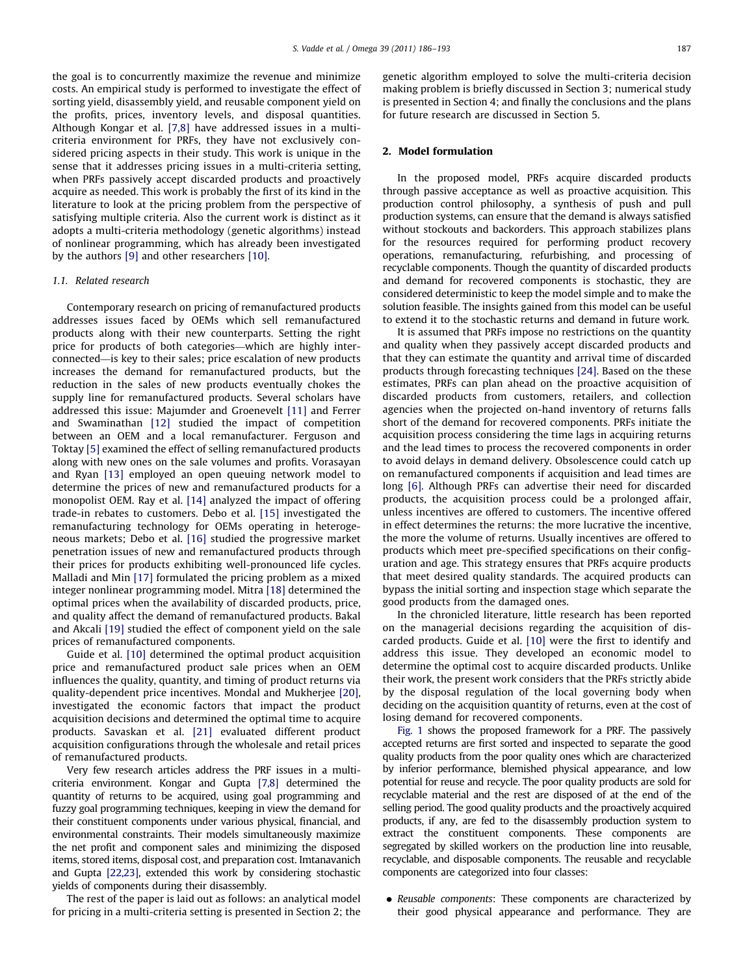the goal is to concurrently maximize the revenue and minimize costs. An empirical study is performed to investigate the effect of sorting yield, disassembly yield, and reusable component yield on the profits, prices, inventory levels, and disposal quantities. Although Kongar et al. [\[7,8\]](#page--1-0) have addressed issues in a multicriteria environment for PRFs, they have not exclusively considered pricing aspects in their study. This work is unique in the sense that it addresses pricing issues in a multi-criteria setting, when PRFs passively accept discarded products and proactively acquire as needed. This work is probably the first of its kind in the literature to look at the pricing problem from the perspective of satisfying multiple criteria. Also the current work is distinct as it adopts a multi-criteria methodology (genetic algorithms) instead of nonlinear programming, which has already been investigated by the authors [\[9\]](#page--1-0) and other researchers [\[10\].](#page--1-0)

#### 1.1. Related research

Contemporary research on pricing of remanufactured products addresses issues faced by OEMs which sell remanufactured products along with their new counterparts. Setting the right price for products of both categories—which are highly interconnected—is key to their sales; price escalation of new products increases the demand for remanufactured products, but the reduction in the sales of new products eventually chokes the supply line for remanufactured products. Several scholars have addressed this issue: Majumder and Groenevelt [\[11\]](#page--1-0) and Ferrer and Swaminathan [\[12\]](#page--1-0) studied the impact of competition between an OEM and a local remanufacturer. Ferguson and Toktay [\[5\]](#page--1-0) examined the effect of selling remanufactured products along with new ones on the sale volumes and profits. Vorasayan and Ryan [\[13\]](#page--1-0) employed an open queuing network model to determine the prices of new and remanufactured products for a monopolist OEM. Ray et al. [\[14\]](#page--1-0) analyzed the impact of offering trade-in rebates to customers. Debo et al. [\[15\]](#page--1-0) investigated the remanufacturing technology for OEMs operating in heterogeneous markets; Debo et al. [\[16\]](#page--1-0) studied the progressive market penetration issues of new and remanufactured products through their prices for products exhibiting well-pronounced life cycles. Malladi and Min [\[17\]](#page--1-0) formulated the pricing problem as a mixed integer nonlinear programming model. Mitra [\[18\]](#page--1-0) determined the optimal prices when the availability of discarded products, price, and quality affect the demand of remanufactured products. Bakal and Akcali [\[19\]](#page--1-0) studied the effect of component yield on the sale prices of remanufactured components.

Guide et al. [\[10\]](#page--1-0) determined the optimal product acquisition price and remanufactured product sale prices when an OEM influences the quality, quantity, and timing of product returns via quality-dependent price incentives. Mondal and Mukherjee [\[20\],](#page--1-0) investigated the economic factors that impact the product acquisition decisions and determined the optimal time to acquire products. Savaskan et al. [\[21\]](#page--1-0) evaluated different product acquisition configurations through the wholesale and retail prices of remanufactured products.

Very few research articles address the PRF issues in a multicriteria environment. Kongar and Gupta [\[7,8\]](#page--1-0) determined the quantity of returns to be acquired, using goal programming and fuzzy goal programming techniques, keeping in view the demand for their constituent components under various physical, financial, and environmental constraints. Their models simultaneously maximize the net profit and component sales and minimizing the disposed items, stored items, disposal cost, and preparation cost. Imtanavanich and Gupta [\[22,23\],](#page--1-0) extended this work by considering stochastic yields of components during their disassembly.

The rest of the paper is laid out as follows: an analytical model for pricing in a multi-criteria setting is presented in Section 2; the genetic algorithm employed to solve the multi-criteria decision making problem is briefly discussed in Section 3; numerical study is presented in Section 4; and finally the conclusions and the plans for future research are discussed in Section 5.

### 2. Model formulation

In the proposed model, PRFs acquire discarded products through passive acceptance as well as proactive acquisition. This production control philosophy, a synthesis of push and pull production systems, can ensure that the demand is always satisfied without stockouts and backorders. This approach stabilizes plans for the resources required for performing product recovery operations, remanufacturing, refurbishing, and processing of recyclable components. Though the quantity of discarded products and demand for recovered components is stochastic, they are considered deterministic to keep the model simple and to make the solution feasible. The insights gained from this model can be useful to extend it to the stochastic returns and demand in future work.

It is assumed that PRFs impose no restrictions on the quantity and quality when they passively accept discarded products and that they can estimate the quantity and arrival time of discarded products through forecasting techniques [\[24\].](#page--1-0) Based on the these estimates, PRFs can plan ahead on the proactive acquisition of discarded products from customers, retailers, and collection agencies when the projected on-hand inventory of returns falls short of the demand for recovered components. PRFs initiate the acquisition process considering the time lags in acquiring returns and the lead times to process the recovered components in order to avoid delays in demand delivery. Obsolescence could catch up on remanufactured components if acquisition and lead times are long [\[6\].](#page--1-0) Although PRFs can advertise their need for discarded products, the acquisition process could be a prolonged affair, unless incentives are offered to customers. The incentive offered in effect determines the returns: the more lucrative the incentive, the more the volume of returns. Usually incentives are offered to products which meet pre-specified specifications on their configuration and age. This strategy ensures that PRFs acquire products that meet desired quality standards. The acquired products can bypass the initial sorting and inspection stage which separate the good products from the damaged ones.

In the chronicled literature, little research has been reported on the managerial decisions regarding the acquisition of discarded products. Guide et al. [\[10\]](#page--1-0) were the first to identify and address this issue. They developed an economic model to determine the optimal cost to acquire discarded products. Unlike their work, the present work considers that the PRFs strictly abide by the disposal regulation of the local governing body when deciding on the acquisition quantity of returns, even at the cost of losing demand for recovered components.

[Fig. 1](#page--1-0) shows the proposed framework for a PRF. The passively accepted returns are first sorted and inspected to separate the good quality products from the poor quality ones which are characterized by inferior performance, blemished physical appearance, and low potential for reuse and recycle. The poor quality products are sold for recyclable material and the rest are disposed of at the end of the selling period. The good quality products and the proactively acquired products, if any, are fed to the disassembly production system to extract the constituent components. These components are segregated by skilled workers on the production line into reusable, recyclable, and disposable components. The reusable and recyclable components are categorized into four classes:

• Reusable components: These components are characterized by their good physical appearance and performance. They are